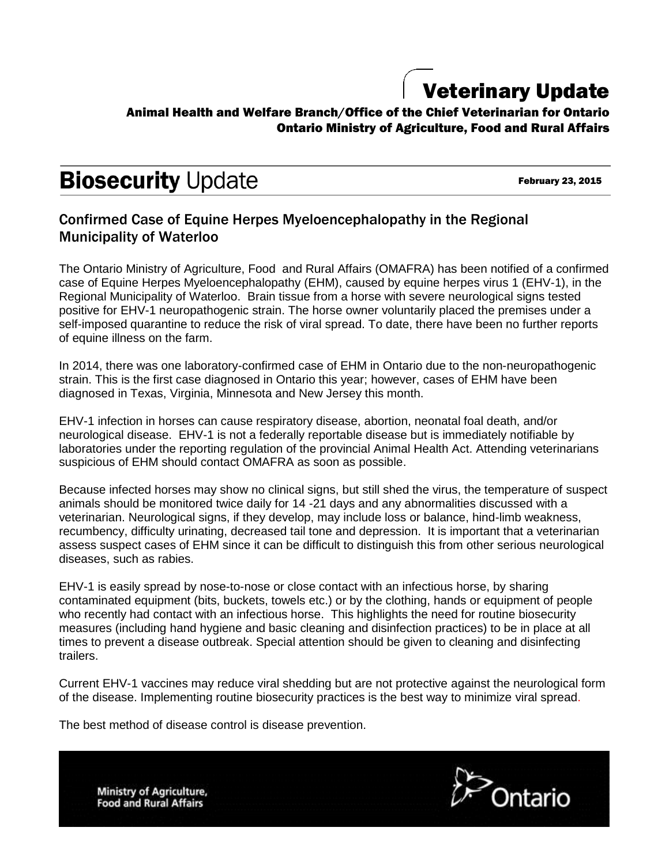## Veterinary Update

### Animal Health and Welfare Branch/Office of the Chief Veterinarian for Ontario Ontario Ministry of Agriculture, Food and Rural Affairs

# **Biosecurity Update**

February 23, 2015

### Confirmed Case of Equine Herpes Myeloencephalopathy in the Regional Municipality of Waterloo

The Ontario Ministry of Agriculture, Food and Rural Affairs (OMAFRA) has been notified of a confirmed case of Equine Herpes Myeloencephalopathy (EHM), caused by equine herpes virus 1 (EHV-1), in the Regional Municipality of Waterloo. Brain tissue from a horse with severe neurological signs tested positive for EHV-1 neuropathogenic strain. The horse owner voluntarily placed the premises under a self-imposed quarantine to reduce the risk of viral spread. To date, there have been no further reports of equine illness on the farm.

In 2014, there was one laboratory-confirmed case of EHM in Ontario due to the non-neuropathogenic strain. This is the first case diagnosed in Ontario this year; however, cases of EHM have been diagnosed in Texas, Virginia, Minnesota and New Jersey this month.

EHV-1 infection in horses can cause respiratory disease, abortion, neonatal foal death, and/or neurological disease. EHV-1 is not a federally reportable disease but is immediately notifiable by laboratories under the reporting regulation of the provincial Animal Health Act. Attending veterinarians suspicious of EHM should contact OMAFRA as soon as possible.

Because infected horses may show no clinical signs, but still shed the virus, the temperature of suspect animals should be monitored twice daily for 14 -21 days and any abnormalities discussed with a veterinarian. Neurological signs, if they develop, may include loss or balance, hind-limb weakness, recumbency, difficulty urinating, decreased tail tone and depression. It is important that a veterinarian assess suspect cases of EHM since it can be difficult to distinguish this from other serious neurological diseases, such as rabies.

EHV-1 is easily spread by nose-to-nose or close contact with an infectious horse, by sharing contaminated equipment (bits, buckets, towels etc.) or by the clothing, hands or equipment of people who recently had contact with an infectious horse. This highlights the need for routine biosecurity measures (including hand hygiene and basic cleaning and disinfection practices) to be in place at all times to prevent a disease outbreak. Special attention should be given to cleaning and disinfecting trailers.

Current EHV-1 vaccines may reduce viral shedding but are not protective against the neurological form of the disease. Implementing routine biosecurity practices is the best way to minimize viral spread.

The best method of disease control is disease prevention.

**Ministry of Agriculture, Food and Rural Affairs**